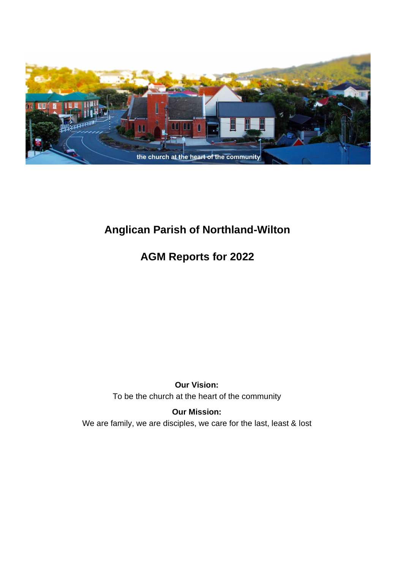

# **Anglican Parish of Northland-Wilton**

# **AGM Reports for 2022**

### **Our Vision:** To be the church at the heart of the community

**Our Mission:** We are family, we are disciples, we care for the last, least & lost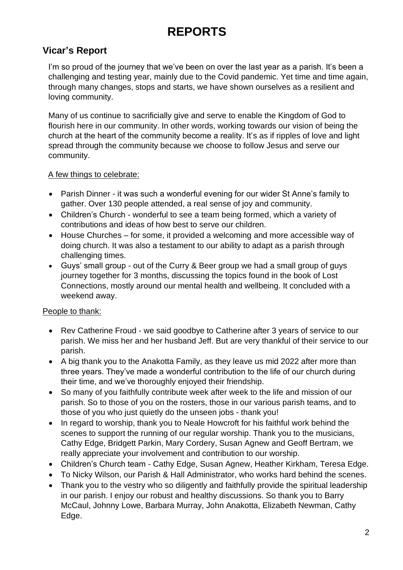# **REPORTS**

### **Vicar's Report**

I'm so proud of the journey that we've been on over the last year as a parish. It's been a challenging and testing year, mainly due to the Covid pandemic. Yet time and time again, through many changes, stops and starts, we have shown ourselves as a resilient and loving community.

Many of us continue to sacrificially give and serve to enable the Kingdom of God to flourish here in our community. In other words, working towards our vision of being the church at the heart of the community become a reality. It's as if ripples of love and light spread through the community because we choose to follow Jesus and serve our community.

### A few things to celebrate:

- Parish Dinner it was such a wonderful evening for our wider St Anne's family to gather. Over 130 people attended, a real sense of joy and community.
- Children's Church wonderful to see a team being formed, which a variety of contributions and ideas of how best to serve our children.
- House Churches for some, it provided a welcoming and more accessible way of doing church. It was also a testament to our ability to adapt as a parish through challenging times.
- Guys' small group out of the Curry & Beer group we had a small group of guys journey together for 3 months, discussing the topics found in the book of Lost Connections, mostly around our mental health and wellbeing. It concluded with a weekend away.

### People to thank:

- Rev Catherine Froud we said goodbye to Catherine after 3 years of service to our parish. We miss her and her husband Jeff. But are very thankful of their service to our parish.
- A big thank you to the Anakotta Family, as they leave us mid 2022 after more than three years. They've made a wonderful contribution to the life of our church during their time, and we've thoroughly enjoyed their friendship.
- So many of you faithfully contribute week after week to the life and mission of our parish. So to those of you on the rosters, those in our various parish teams, and to those of you who just quietly do the unseen jobs - thank you!
- In regard to worship, thank you to Neale Howcroft for his faithful work behind the scenes to support the running of our regular worship. Thank you to the musicians, Cathy Edge, Bridgett Parkin, Mary Cordery, Susan Agnew and Geoff Bertram, we really appreciate your involvement and contribution to our worship.
- Children's Church team Cathy Edge, Susan Agnew, Heather Kirkham, Teresa Edge.
- To Nicky Wilson, our Parish & Hall Administrator, who works hard behind the scenes.
- Thank you to the vestry who so diligently and faithfully provide the spiritual leadership in our parish. I enjoy our robust and healthy discussions. So thank you to Barry McCaul, Johnny Lowe, Barbara Murray, John Anakotta, Elizabeth Newman, Cathy Edge.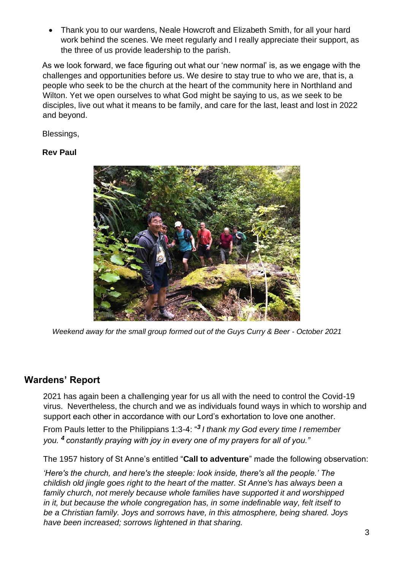• Thank you to our wardens, Neale Howcroft and Elizabeth Smith, for all your hard work behind the scenes. We meet regularly and I really appreciate their support, as the three of us provide leadership to the parish.

As we look forward, we face figuring out what our 'new normal' is, as we engage with the challenges and opportunities before us. We desire to stay true to who we are, that is, a people who seek to be the church at the heart of the community here in Northland and Wilton. Yet we open ourselves to what God might be saying to us, as we seek to be disciples, live out what it means to be family, and care for the last, least and lost in 2022 and beyond.

Blessings,

#### **Rev Paul**



*Weekend away for the small group formed out of the Guys Curry & Beer - October 2021*

### **Wardens' Report**

2021 has again been a challenging year for us all with the need to control the Covid-19 virus. Nevertheless, the church and we as individuals found ways in which to worship and support each other in accordance with our Lord's exhortation to love one another.

From Pauls letter to the Philippians 1:3-4: "*<sup>3</sup> I thank my God every time I remember you. <sup>4</sup> constantly praying with joy in every one of my prayers for all of you."*

The 1957 history of St Anne's entitled "**Call to adventure**" made the following observation:

*'Here's the church, and here's the steeple: look inside, there's all the people.' The childish old jingle goes right to the heart of the matter. St Anne's has always been a family church, not merely because whole families have supported it and worshipped in it, but because the whole congregation has, in some indefinable way, felt itself to be a Christian family. Joys and sorrows have, in this atmosphere, being shared. Joys have been increased; sorrows lightened in that sharing.*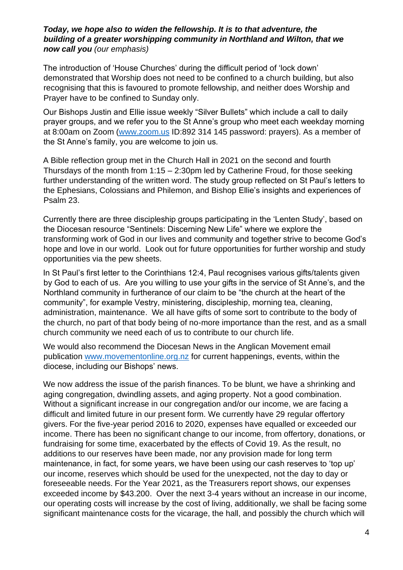#### *Today, we hope also to widen the fellowship. It is to that adventure, the building of a greater worshipping community in Northland and Wilton, that we now call you (our emphasis)*

The introduction of 'House Churches' during the difficult period of 'lock down' demonstrated that Worship does not need to be confined to a church building, but also recognising that this is favoured to promote fellowship, and neither does Worship and Prayer have to be confined to Sunday only.

Our Bishops Justin and Ellie issue weekly "Silver Bullets" which include a call to daily prayer groups, and we refer you to the St Anne's group who meet each weekday morning at 8:00am on Zoom [\(www.zoom.us](http://www.zoom.us/) ID:892 314 145 password: prayers). As a member of the St Anne's family, you are welcome to join us.

A Bible reflection group met in the Church Hall in 2021 on the second and fourth Thursdays of the month from 1:15 – 2:30pm led by Catherine Froud, for those seeking further understanding of the written word. The study group reflected on St Paul's letters to the Ephesians, Colossians and Philemon, and Bishop Ellie's insights and experiences of Psalm 23.

Currently there are three discipleship groups participating in the 'Lenten Study', based on the Diocesan resource "Sentinels: Discerning New Life" where we explore the transforming work of God in our lives and community and together strive to become God's hope and love in our world. Look out for future opportunities for further worship and study opportunities via the pew sheets.

In St Paul's first letter to the Corinthians 12:4, Paul recognises various gifts/talents given by God to each of us. Are you willing to use your gifts in the service of St Anne's, and the Northland community in furtherance of our claim to be "the church at the heart of the community", for example Vestry, ministering, discipleship, morning tea, cleaning, administration, maintenance. We all have gifts of some sort to contribute to the body of the church, no part of that body being of no-more importance than the rest, and as a small church community we need each of us to contribute to our church life.

We would also recommend the Diocesan News in the Anglican Movement email publication [www.movementonline.org.nz](http://www.movementonline.org.nz/) for current happenings, events, within the diocese, including our Bishops' news.

We now address the issue of the parish finances. To be blunt, we have a shrinking and aging congregation, dwindling assets, and aging property. Not a good combination. Without a significant increase in our congregation and/or our income, we are facing a difficult and limited future in our present form. We currently have 29 regular offertory givers. For the five-year period 2016 to 2020, expenses have equalled or exceeded our income. There has been no significant change to our income, from offertory, donations, or fundraising for some time, exacerbated by the effects of Covid 19. As the result, no additions to our reserves have been made, nor any provision made for long term maintenance, in fact, for some years, we have been using our cash reserves to 'top up' our income, reserves which should be used for the unexpected, not the day to day or foreseeable needs. For the Year 2021, as the Treasurers report shows, our expenses exceeded income by \$43.200. Over the next 3-4 years without an increase in our income, our operating costs will increase by the cost of living, additionally, we shall be facing some significant maintenance costs for the vicarage, the hall, and possibly the church which will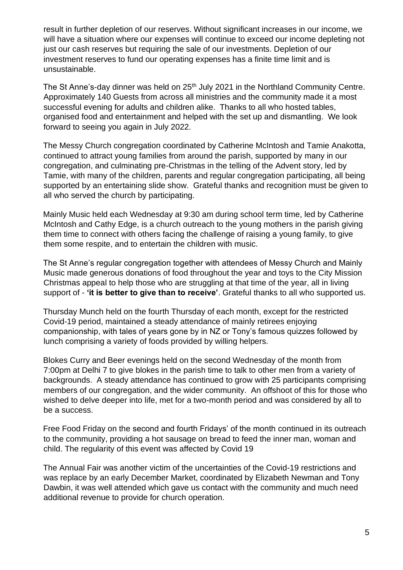result in further depletion of our reserves. Without significant increases in our income, we will have a situation where our expenses will continue to exceed our income depleting not just our cash reserves but requiring the sale of our investments. Depletion of our investment reserves to fund our operating expenses has a finite time limit and is unsustainable.

The St Anne's-day dinner was held on 25<sup>th</sup> July 2021 in the Northland Community Centre. Approximately 140 Guests from across all ministries and the community made it a most successful evening for adults and children alike. Thanks to all who hosted tables, organised food and entertainment and helped with the set up and dismantling. We look forward to seeing you again in July 2022.

The Messy Church congregation coordinated by Catherine McIntosh and Tamie Anakotta, continued to attract young families from around the parish, supported by many in our congregation, and culminating pre-Christmas in the telling of the Advent story, led by Tamie, with many of the children, parents and regular congregation participating, all being supported by an entertaining slide show. Grateful thanks and recognition must be given to all who served the church by participating.

Mainly Music held each Wednesday at 9:30 am during school term time, led by Catherine McIntosh and Cathy Edge, is a church outreach to the young mothers in the parish giving them time to connect with others facing the challenge of raising a young family, to give them some respite, and to entertain the children with music.

The St Anne's regular congregation together with attendees of Messy Church and Mainly Music made generous donations of food throughout the year and toys to the City Mission Christmas appeal to help those who are struggling at that time of the year, all in living support of - **'it is better to give than to receive'**. Grateful thanks to all who supported us.

Thursday Munch held on the fourth Thursday of each month, except for the restricted Covid-19 period, maintained a steady attendance of mainly retirees enjoying companionship, with tales of years gone by in NZ or Tony's famous quizzes followed by lunch comprising a variety of foods provided by willing helpers.

Blokes Curry and Beer evenings held on the second Wednesday of the month from 7:00pm at Delhi 7 to give blokes in the parish time to talk to other men from a variety of backgrounds. A steady attendance has continued to grow with 25 participants comprising members of our congregation, and the wider community. An offshoot of this for those who wished to delve deeper into life, met for a two-month period and was considered by all to be a success.

Free Food Friday on the second and fourth Fridays' of the month continued in its outreach to the community, providing a hot sausage on bread to feed the inner man, woman and child. The regularity of this event was affected by Covid 19

The Annual Fair was another victim of the uncertainties of the Covid-19 restrictions and was replace by an early December Market, coordinated by Elizabeth Newman and Tony Dawbin, it was well attended which gave us contact with the community and much need additional revenue to provide for church operation.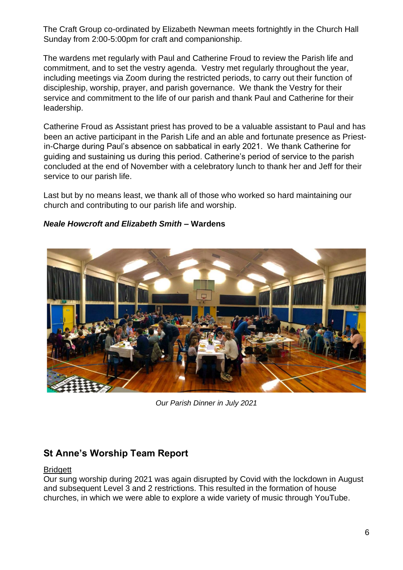The Craft Group co-ordinated by Elizabeth Newman meets fortnightly in the Church Hall Sunday from 2:00-5:00pm for craft and companionship.

The wardens met regularly with Paul and Catherine Froud to review the Parish life and commitment, and to set the vestry agenda. Vestry met regularly throughout the year, including meetings via Zoom during the restricted periods, to carry out their function of discipleship, worship, prayer, and parish governance. We thank the Vestry for their service and commitment to the life of our parish and thank Paul and Catherine for their leadership.

Catherine Froud as Assistant priest has proved to be a valuable assistant to Paul and has been an active participant in the Parish Life and an able and fortunate presence as Priestin-Charge during Paul's absence on sabbatical in early 2021. We thank Catherine for guiding and sustaining us during this period. Catherine's period of service to the parish concluded at the end of November with a celebratory lunch to thank her and Jeff for their service to our parish life.

Last but by no means least, we thank all of those who worked so hard maintaining our church and contributing to our parish life and worship.



### *Neale Howcroft and Elizabeth Smith –* **Wardens**

*Our Parish Dinner in July 2021*

### **St Anne's Worship Team Report**

#### **Bridgett**

Our sung worship during 2021 was again disrupted by Covid with the lockdown in August and subsequent Level 3 and 2 restrictions. This resulted in the formation of house churches, in which we were able to explore a wide variety of music through YouTube.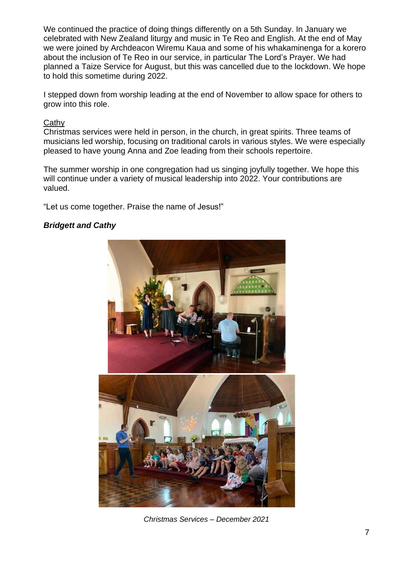We continued the practice of doing things differently on a 5th Sunday. In January we celebrated with New Zealand liturgy and music in Te Reo and English. At the end of May we were joined by Archdeacon Wiremu Kaua and some of his whakaminenga for a korero about the inclusion of Te Reo in our service, in particular The Lord's Prayer. We had planned a Taize Service for August, but this was cancelled due to the lockdown. We hope to hold this sometime during 2022.

I stepped down from worship leading at the end of November to allow space for others to grow into this role.

#### **Cathy**

Christmas services were held in person, in the church, in great spirits. Three teams of musicians led worship, focusing on traditional carols in various styles. We were especially pleased to have young Anna and Zoe leading from their schools repertoire.

The summer worship in one congregation had us singing joyfully together. We hope this will continue under a variety of musical leadership into 2022. Your contributions are valued.

"Let us come together. Praise the name of Jesus!"

### *Bridgett and Cathy*



*Christmas Services – December 2021*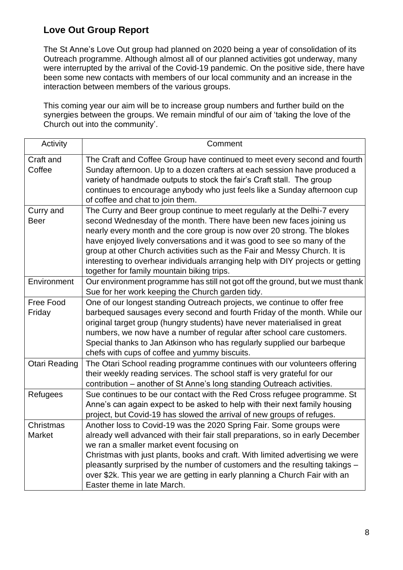### **Love Out Group Report**

The St Anne's Love Out group had planned on 2020 being a year of consolidation of its Outreach programme. Although almost all of our planned activities got underway, many were interrupted by the arrival of the Covid-19 pandemic. On the positive side, there have been some new contacts with members of our local community and an increase in the interaction between members of the various groups.

This coming year our aim will be to increase group numbers and further build on the synergies between the groups. We remain mindful of our aim of 'taking the love of the Church out into the community'.

| Activity             | Comment                                                                                                                     |
|----------------------|-----------------------------------------------------------------------------------------------------------------------------|
| Craft and            | The Craft and Coffee Group have continued to meet every second and fourth                                                   |
| Coffee               | Sunday afternoon. Up to a dozen crafters at each session have produced a                                                    |
|                      | variety of handmade outputs to stock the fair's Craft stall. The group                                                      |
|                      | continues to encourage anybody who just feels like a Sunday afternoon cup                                                   |
|                      | of coffee and chat to join them.                                                                                            |
| Curry and            | The Curry and Beer group continue to meet regularly at the Delhi-7 every                                                    |
| <b>Beer</b>          | second Wednesday of the month. There have been new faces joining us                                                         |
|                      | nearly every month and the core group is now over 20 strong. The blokes                                                     |
|                      | have enjoyed lively conversations and it was good to see so many of the                                                     |
|                      | group at other Church activities such as the Fair and Messy Church. It is                                                   |
|                      | interesting to overhear individuals arranging help with DIY projects or getting                                             |
|                      | together for family mountain biking trips.                                                                                  |
| Environment          | Our environment programme has still not got off the ground, but we must thank                                               |
|                      | Sue for her work keeping the Church garden tidy.                                                                            |
| Free Food            | One of our longest standing Outreach projects, we continue to offer free                                                    |
| Friday               | barbequed sausages every second and fourth Friday of the month. While our                                                   |
|                      | original target group (hungry students) have never materialised in great                                                    |
|                      | numbers, we now have a number of regular after school care customers.                                                       |
|                      | Special thanks to Jan Atkinson who has regularly supplied our barbeque                                                      |
|                      | chefs with cups of coffee and yummy biscuits.                                                                               |
| <b>Otari Reading</b> | The Otari School reading programme continues with our volunteers offering                                                   |
|                      | their weekly reading services. The school staff is very grateful for our                                                    |
|                      | contribution – another of St Anne's long standing Outreach activities.                                                      |
| Refugees             | Sue continues to be our contact with the Red Cross refugee programme. St                                                    |
|                      | Anne's can again expect to be asked to help with their next family housing                                                  |
|                      | project, but Covid-19 has slowed the arrival of new groups of refuges.                                                      |
| Christmas            | Another loss to Covid-19 was the 2020 Spring Fair. Some groups were                                                         |
| Market               | already well advanced with their fair stall preparations, so in early December<br>we ran a smaller market event focusing on |
|                      | Christmas with just plants, books and craft. With limited advertising we were                                               |
|                      | pleasantly surprised by the number of customers and the resulting takings -                                                 |
|                      | over \$2k. This year we are getting in early planning a Church Fair with an                                                 |
|                      | Easter theme in late March.                                                                                                 |
|                      |                                                                                                                             |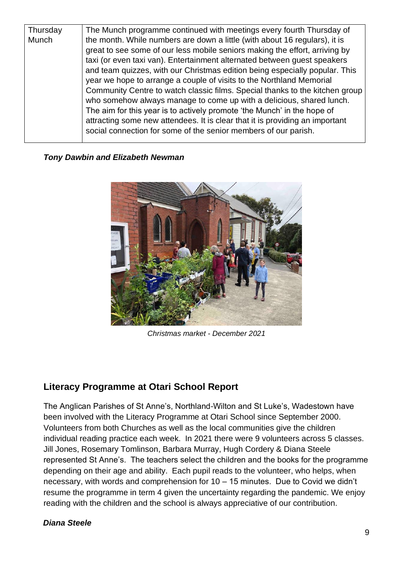| Thursday | The Munch programme continued with meetings every fourth Thursday of                                                                                                                                                                                                                                                                                                                                                                                                                                                                                                                                                                                                                                                                                                               |
|----------|------------------------------------------------------------------------------------------------------------------------------------------------------------------------------------------------------------------------------------------------------------------------------------------------------------------------------------------------------------------------------------------------------------------------------------------------------------------------------------------------------------------------------------------------------------------------------------------------------------------------------------------------------------------------------------------------------------------------------------------------------------------------------------|
| Munch    | the month. While numbers are down a little (with about 16 regulars), it is<br>great to see some of our less mobile seniors making the effort, arriving by<br>taxi (or even taxi van). Entertainment alternated between guest speakers<br>and team quizzes, with our Christmas edition being especially popular. This<br>year we hope to arrange a couple of visits to the Northland Memorial<br>Community Centre to watch classic films. Special thanks to the kitchen group<br>who somehow always manage to come up with a delicious, shared lunch.<br>The aim for this year is to actively promote 'the Munch' in the hope of<br>attracting some new attendees. It is clear that it is providing an important<br>social connection for some of the senior members of our parish. |
|          |                                                                                                                                                                                                                                                                                                                                                                                                                                                                                                                                                                                                                                                                                                                                                                                    |

#### *Tony Dawbin and Elizabeth Newman*



*Christmas market - December 2021*

### **Literacy Programme at Otari School Report**

The Anglican Parishes of St Anne's, Northland-Wilton and St Luke's, Wadestown have been involved with the Literacy Programme at Otari School since September 2000. Volunteers from both Churches as well as the local communities give the children individual reading practice each week. In 2021 there were 9 volunteers across 5 classes. Jill Jones, Rosemary Tomlinson, Barbara Murray, Hugh Cordery & Diana Steele represented St Anne's. The teachers select the children and the books for the programme depending on their age and ability. Each pupil reads to the volunteer, who helps, when necessary, with words and comprehension for 10 – 15 minutes. Due to Covid we didn't resume the programme in term 4 given the uncertainty regarding the pandemic. We enjoy reading with the children and the school is always appreciative of our contribution.

#### *Diana Steele*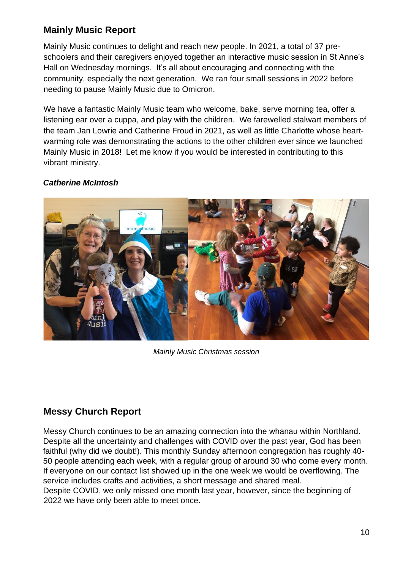### **Mainly Music Report**

Mainly Music continues to delight and reach new people. In 2021, a total of 37 preschoolers and their caregivers enjoyed together an interactive music session in St Anne's Hall on Wednesday mornings. It's all about encouraging and connecting with the community, especially the next generation. We ran four small sessions in 2022 before needing to pause Mainly Music due to Omicron.

We have a fantastic Mainly Music team who welcome, bake, serve morning tea, offer a listening ear over a cuppa, and play with the children. We farewelled stalwart members of the team Jan Lowrie and Catherine Froud in 2021, as well as little Charlotte whose heartwarming role was demonstrating the actions to the other children ever since we launched Mainly Music in 2018! Let me know if you would be interested in contributing to this vibrant ministry.

#### *Catherine McIntosh*



*Mainly Music Christmas session* 

### **Messy Church Report**

Messy Church continues to be an amazing connection into the whanau within Northland. Despite all the uncertainty and challenges with COVID over the past year, God has been faithful (why did we doubt!). This monthly Sunday afternoon congregation has roughly 40- 50 people attending each week, with a regular group of around 30 who come every month. If everyone on our contact list showed up in the one week we would be overflowing. The service includes crafts and activities, a short message and shared meal.

Despite COVID, we only missed one month last year, however, since the beginning of 2022 we have only been able to meet once.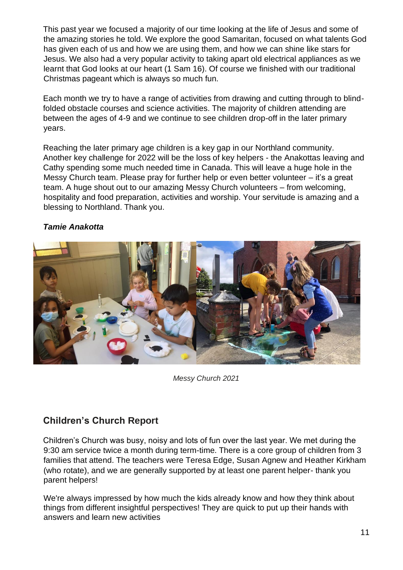This past year we focused a majority of our time looking at the life of Jesus and some of the amazing stories he told. We explore the good Samaritan, focused on what talents God has given each of us and how we are using them, and how we can shine like stars for Jesus. We also had a very popular activity to taking apart old electrical appliances as we learnt that God looks at our heart (1 Sam 16). Of course we finished with our traditional Christmas pageant which is always so much fun.

Each month we try to have a range of activities from drawing and cutting through to blindfolded obstacle courses and science activities. The majority of children attending are between the ages of 4-9 and we continue to see children drop-off in the later primary years.

Reaching the later primary age children is a key gap in our Northland community. Another key challenge for 2022 will be the loss of key helpers - the Anakottas leaving and Cathy spending some much needed time in Canada. This will leave a huge hole in the Messy Church team. Please pray for further help or even better volunteer – it's a great team. A huge shout out to our amazing Messy Church volunteers – from welcoming, hospitality and food preparation, activities and worship. Your servitude is amazing and a blessing to Northland. Thank you.

### *Tamie Anakotta*



*Messy Church 2021*

### **Children's Church Report**

Children's Church was busy, noisy and lots of fun over the last year. We met during the 9:30 am service twice a month during term-time. There is a core group of children from 3 families that attend. The teachers were Teresa Edge, Susan Agnew and Heather Kirkham (who rotate), and we are generally supported by at least one parent helper- thank you parent helpers!

We're always impressed by how much the kids already know and how they think about things from different insightful perspectives! They are quick to put up their hands with answers and learn new activities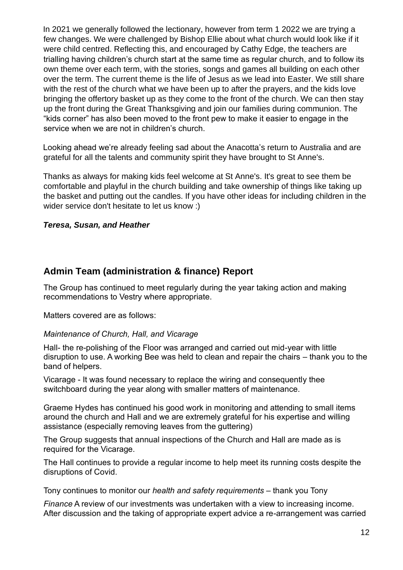In 2021 we generally followed the lectionary, however from term 1 2022 we are trying a few changes. We were challenged by Bishop Ellie about what church would look like if it were child centred. Reflecting this, and encouraged by Cathy Edge, the teachers are trialling having children's church start at the same time as regular church, and to follow its own theme over each term, with the stories, songs and games all building on each other over the term. The current theme is the life of Jesus as we lead into Easter. We still share with the rest of the church what we have been up to after the prayers, and the kids love bringing the offertory basket up as they come to the front of the church. We can then stay up the front during the Great Thanksgiving and join our families during communion. The "kids corner" has also been moved to the front pew to make it easier to engage in the service when we are not in children's church.

Looking ahead we're already feeling sad about the Anacotta's return to Australia and are grateful for all the talents and community spirit they have brought to St Anne's.

Thanks as always for making kids feel welcome at St Anne's. It's great to see them be comfortable and playful in the church building and take ownership of things like taking up the basket and putting out the candles. If you have other ideas for including children in the wider service don't hesitate to let us know :)

#### *Teresa, Susan, and Heather*

### **Admin Team (administration & finance) Report**

The Group has continued to meet regularly during the year taking action and making recommendations to Vestry where appropriate.

Matters covered are as follows:

#### *Maintenance of Church, Hall, and Vicarage*

Hall- the re-polishing of the Floor was arranged and carried out mid-year with little disruption to use. A working Bee was held to clean and repair the chairs – thank you to the band of helpers.

Vicarage - It was found necessary to replace the wiring and consequently thee switchboard during the year along with smaller matters of maintenance.

Graeme Hydes has continued his good work in monitoring and attending to small items around the church and Hall and we are extremely grateful for his expertise and willing assistance (especially removing leaves from the guttering)

The Group suggests that annual inspections of the Church and Hall are made as is required for the Vicarage.

The Hall continues to provide a regular income to help meet its running costs despite the disruptions of Covid.

Tony continues to monitor our *health and safety requirements* – thank you Tony

*Finance* A review of our investments was undertaken with a view to increasing income. After discussion and the taking of appropriate expert advice a re-arrangement was carried